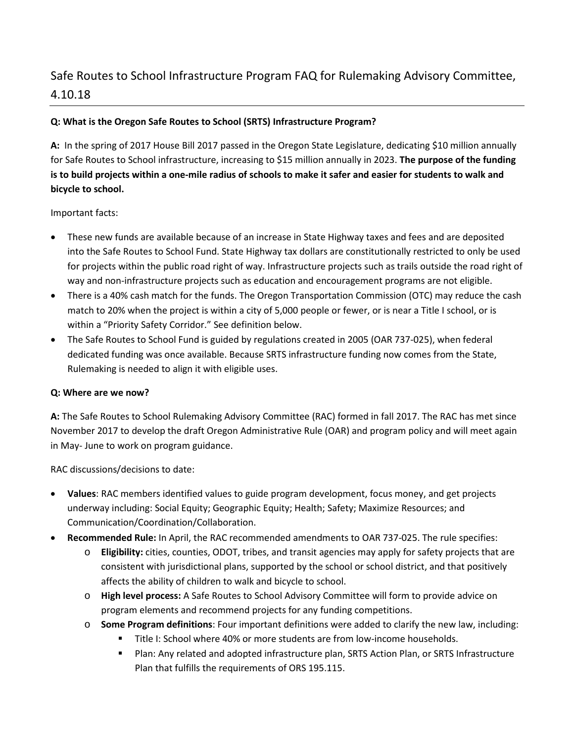# Safe Routes to School Infrastructure Program FAQ for Rulemaking Advisory Committee, 4.10.18

## **Q: What is the Oregon Safe Routes to School (SRTS) Infrastructure Program?**

**A:** In the spring of 2017 House Bill 2017 passed in the Oregon State Legislature, dedicating \$10 million annually for Safe Routes to School infrastructure, increasing to \$15 million annually in 2023. **The purpose of the funding is to build projects within a one-mile radius of schools to make it safer and easier for students to walk and bicycle to school.**

## Important facts:

- These new funds are available because of an increase in State Highway taxes and fees and are deposited into the Safe Routes to School Fund. State Highway tax dollars are constitutionally restricted to only be used for projects within the public road right of way. Infrastructure projects such as trails outside the road right of way and non-infrastructure projects such as education and encouragement programs are not eligible.
- There is a 40% cash match for the funds. The Oregon Transportation Commission (OTC) may reduce the cash match to 20% when the project is within a city of 5,000 people or fewer, or is near a Title I school, or is within a "Priority Safety Corridor." See definition below.
- The Safe Routes to School Fund is guided by regulations created in 2005 (OAR 737-025), when federal dedicated funding was once available. Because SRTS infrastructure funding now comes from the State, Rulemaking is needed to align it with eligible uses.

### **Q: Where are we now?**

**A:** The Safe Routes to School Rulemaking Advisory Committee (RAC) formed in fall 2017. The RAC has met since November 2017 to develop the draft Oregon Administrative Rule (OAR) and program policy and will meet again in May- June to work on program guidance.

RAC discussions/decisions to date:

- **Values**: RAC members identified values to guide program development, focus money, and get projects underway including: Social Equity; Geographic Equity; Health; Safety; Maximize Resources; and Communication/Coordination/Collaboration.
- **Recommended Rule:** In April, the RAC recommended amendments to OAR 737-025. The rule specifies:
	- o **Eligibility:** cities, counties, ODOT, tribes, and transit agencies may apply for safety projects that are consistent with jurisdictional plans, supported by the school or school district, and that positively affects the ability of children to walk and bicycle to school.
	- o **High level process:** A Safe Routes to School Advisory Committee will form to provide advice on program elements and recommend projects for any funding competitions.
	- o **Some Program definitions**: Four important definitions were added to clarify the new law, including:
		- Title I: School where 40% or more students are from low-income households.
		- Plan: Any related and adopted infrastructure plan, SRTS Action Plan, or SRTS Infrastructure Plan that fulfills the requirements of ORS 195.115.